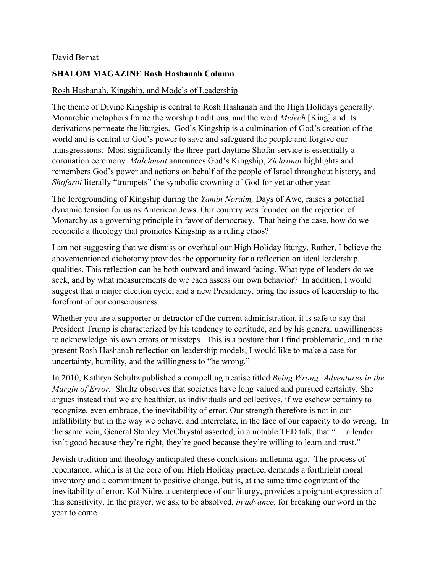## David Bernat

## **SHALOM MAGAZINE Rosh Hashanah Column**

## Rosh Hashanah, Kingship, and Models of Leadership

The theme of Divine Kingship is central to Rosh Hashanah and the High Holidays generally. Monarchic metaphors frame the worship traditions, and the word *Melech* [King] and its derivations permeate the liturgies. God's Kingship is a culmination of God's creation of the world and is central to God's power to save and safeguard the people and forgive our transgressions. Most significantly the three-part daytime Shofar service is essentially a coronation ceremony *Malchuyot* announces God's Kingship, *Zichronot* highlights and remembers God's power and actions on behalf of the people of Israel throughout history, and *Shofarot* literally "trumpets" the symbolic crowning of God for yet another year.

The foregrounding of Kingship during the *Yamin Noraim,* Days of Awe, raises a potential dynamic tension for us as American Jews. Our country was founded on the rejection of Monarchy as a governing principle in favor of democracy. That being the case, how do we reconcile a theology that promotes Kingship as a ruling ethos?

I am not suggesting that we dismiss or overhaul our High Holiday liturgy. Rather, I believe the abovementioned dichotomy provides the opportunity for a reflection on ideal leadership qualities. This reflection can be both outward and inward facing. What type of leaders do we seek, and by what measurements do we each assess our own behavior? In addition, I would suggest that a major election cycle, and a new Presidency, bring the issues of leadership to the forefront of our consciousness.

Whether you are a supporter or detractor of the current administration, it is safe to say that President Trump is characterized by his tendency to certitude, and by his general unwillingness to acknowledge his own errors or missteps. This is a posture that I find problematic, and in the present Rosh Hashanah reflection on leadership models, I would like to make a case for uncertainty, humility, and the willingness to "be wrong."

In 2010, Kathryn Schultz published a compelling treatise titled *Being Wrong: Adventures in the Margin of Error.* Shultz observes that societies have long valued and pursued certainty. She argues instead that we are healthier, as individuals and collectives, if we eschew certainty to recognize, even embrace, the inevitability of error. Our strength therefore is not in our infallibility but in the way we behave, and interrelate, in the face of our capacity to do wrong. In the same vein, General Stanley McChrystal asserted, in a notable TED talk, that "… a leader isn't good because they're right, they're good because they're willing to learn and trust."

Jewish tradition and theology anticipated these conclusions millennia ago. The process of repentance, which is at the core of our High Holiday practice, demands a forthright moral inventory and a commitment to positive change, but is, at the same time cognizant of the inevitability of error. Kol Nidre, a centerpiece of our liturgy, provides a poignant expression of this sensitivity. In the prayer, we ask to be absolved, *in advance,* for breaking our word in the year to come.